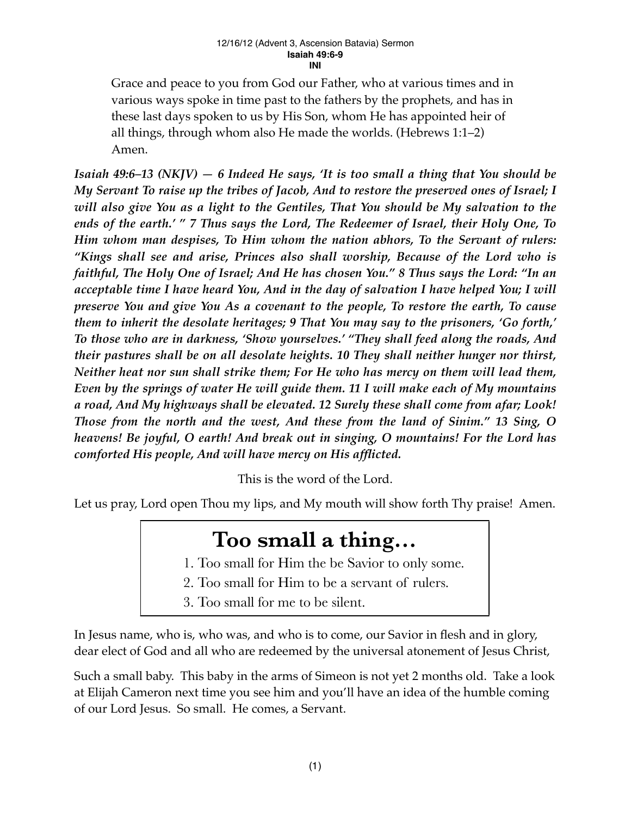#### 12/16/12 (Advent 3, Ascension Batavia) Sermon **Isaiah 49:6-9 INI**

Grace and peace to you from God our Father, who at various times and in various ways spoke in time past to the fathers by the prophets, and has in these last days spoken to us by His Son, whom He has appointed heir of all things, through whom also He made the worlds. (Hebrews 1:1–2) Amen.

*Isaiah 49:6–13 (NKJV) — 6 Indeed He says, 'It is too small a thing that You should be My Servant To raise up the tribes of Jacob, And to restore the preserved ones of Israel; I will also give You as a light to the Gentiles, That You should be My salvation to the ends of the earth.' " 7 Thus says the Lord, The Redeemer of Israel, their Holy One, To Him whom man despises, To Him whom the nation abhors, To the Servant of rulers: "Kings shall see and arise, Princes also shall worship, Because of the Lord who is faithful, The Holy One of Israel; And He has chosen You." 8 Thus says the Lord: "In an acceptable time I have heard You, And in the day of salvation I have helped You; I will preserve You and give You As a covenant to the people, To restore the earth, To cause them to inherit the desolate heritages; 9 That You may say to the prisoners, 'Go forth,' To those who are in darkness, 'Show yourselves.' "They shall feed along the roads, And their pastures shall be on all desolate heights. 10 They shall neither hunger nor thirst, Neither heat nor sun shall strike them; For He who has mercy on them will lead them, Even by the springs of water He will guide them. 11 I will make each of My mountains a road, And My highways shall be elevated. 12 Surely these shall come from afar; Look! Those from the north and the west, And these from the land of Sinim." 13 Sing, O heavens! Be joyful, O earth! And break out in singing, O mountains! For the Lord has comforted His people, And will have mercy on His afflicted.*

This is the word of the Lord.

Let us pray, Lord open Thou my lips, and My mouth will show forth Thy praise! Amen.

# **Too small a thing…**

- 1. Too small for Him the be Savior to only some.
- 2. Too small for Him to be a servant of rulers.
- 3. Too small for me to be silent.

In Jesus name, who is, who was, and who is to come, our Savior in flesh and in glory, dear elect of God and all who are redeemed by the universal atonement of Jesus Christ,

Such a small baby. This baby in the arms of Simeon is not yet 2 months old. Take a look at Elijah Cameron next time you see him and you'll have an idea of the humble coming of our Lord Jesus. So small. He comes, a Servant.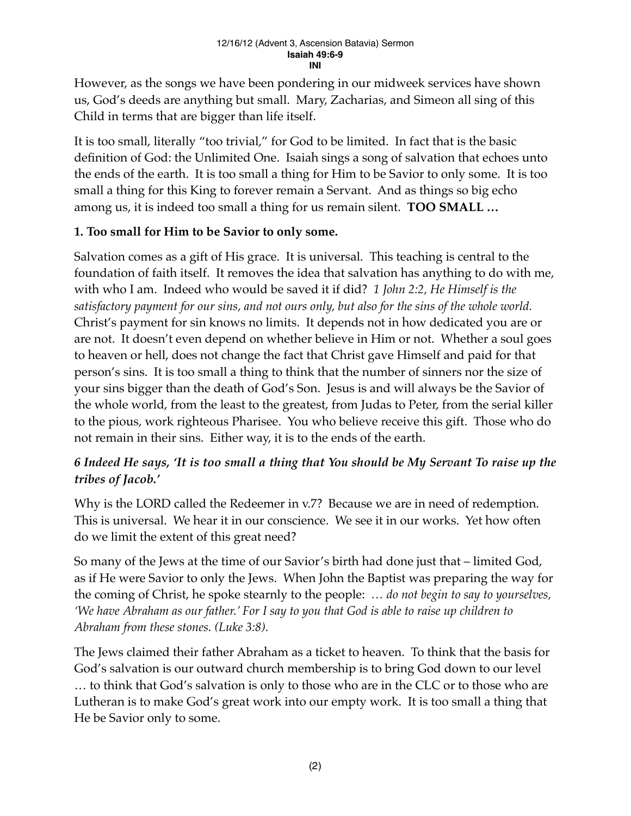However, as the songs we have been pondering in our midweek services have shown us, God's deeds are anything but small. Mary, Zacharias, and Simeon all sing of this Child in terms that are bigger than life itself.

It is too small, literally "too trivial," for God to be limited. In fact that is the basic definition of God: the Unlimited One. Isaiah sings a song of salvation that echoes unto the ends of the earth. It is too small a thing for Him to be Savior to only some. It is too small a thing for this King to forever remain a Servant. And as things so big echo among us, it is indeed too small a thing for us remain silent. **TOO SMALL …**

### **1. Too small for Him to be Savior to only some.**

Salvation comes as a gift of His grace. It is universal. This teaching is central to the foundation of faith itself. It removes the idea that salvation has anything to do with me, with who I am. Indeed who would be saved it if did? *1 John 2:2, He Himself is the satisfactory payment for our sins, and not ours only, but also for the sins of the whole world.*  Christ's payment for sin knows no limits. It depends not in how dedicated you are or are not. It doesn't even depend on whether believe in Him or not. Whether a soul goes to heaven or hell, does not change the fact that Christ gave Himself and paid for that person's sins. It is too small a thing to think that the number of sinners nor the size of your sins bigger than the death of God's Son. Jesus is and will always be the Savior of the whole world, from the least to the greatest, from Judas to Peter, from the serial killer to the pious, work righteous Pharisee. You who believe receive this gift. Those who do not remain in their sins. Either way, it is to the ends of the earth.

## *6 Indeed He says, 'It is too small a thing that You should be My Servant To raise up the tribes of Jacob.'*

Why is the LORD called the Redeemer in v.7? Because we are in need of redemption. This is universal. We hear it in our conscience. We see it in our works. Yet how often do we limit the extent of this great need?

So many of the Jews at the time of our Savior's birth had done just that – limited God, as if He were Savior to only the Jews. When John the Baptist was preparing the way for the coming of Christ, he spoke stearnly to the people: *… do not begin to say to yourselves, 'We have Abraham as our father.' For I say to you that God is able to raise up children to Abraham from these stones. (Luke 3:8).*

The Jews claimed their father Abraham as a ticket to heaven. To think that the basis for God's salvation is our outward church membership is to bring God down to our level … to think that God's salvation is only to those who are in the CLC or to those who are Lutheran is to make God's great work into our empty work. It is too small a thing that He be Savior only to some.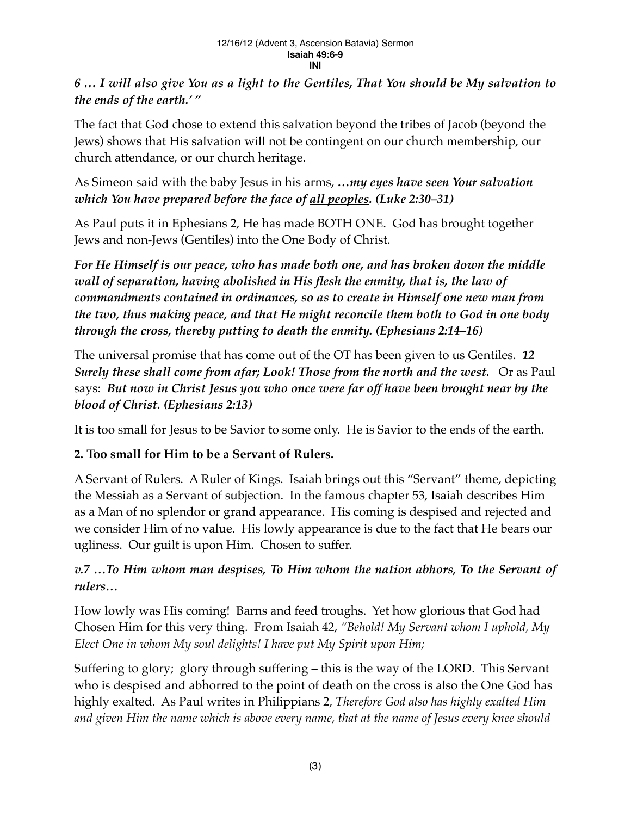## *6 … I will also give You as a light to the Gentiles, That You should be My salvation to the ends of the earth.' "*

The fact that God chose to extend this salvation beyond the tribes of Jacob (beyond the Jews) shows that His salvation will not be contingent on our church membership, our church attendance, or our church heritage.

As Simeon said with the baby Jesus in his arms, *…my eyes have seen Your salvation which You have prepared before the face of all peoples. (Luke 2:30–31)*

As Paul puts it in Ephesians 2, He has made BOTH ONE. God has brought together Jews and non-Jews (Gentiles) into the One Body of Christ.

*For He Himself is our peace, who has made both one, and has broken down the middle wall of separation, having abolished in His flesh the enmity, that is, the law of commandments contained in ordinances, so as to create in Himself one new man from the two, thus making peace, and that He might reconcile them both to God in one body through the cross, thereby putting to death the enmity. (Ephesians 2:14–16)*

The universal promise that has come out of the OT has been given to us Gentiles. *12 Surely these shall come from afar; Look! Those from the north and the west.* Or as Paul says: *But now in Christ Jesus you who once were far off have been brought near by the blood of Christ. (Ephesians 2:13)*

It is too small for Jesus to be Savior to some only. He is Savior to the ends of the earth.

# **2. Too small for Him to be a Servant of Rulers.**

A Servant of Rulers. A Ruler of Kings. Isaiah brings out this "Servant" theme, depicting the Messiah as a Servant of subjection. In the famous chapter 53, Isaiah describes Him as a Man of no splendor or grand appearance. His coming is despised and rejected and we consider Him of no value. His lowly appearance is due to the fact that He bears our ugliness. Our guilt is upon Him. Chosen to suffer.

# *v.7 …To Him whom man despises, To Him whom the nation abhors, To the Servant of rulers…*

How lowly was His coming! Barns and feed troughs. Yet how glorious that God had Chosen Him for this very thing. From Isaiah 42, *"Behold! My Servant whom I uphold, My Elect One in whom My soul delights! I have put My Spirit upon Him;*

Suffering to glory; glory through suffering – this is the way of the LORD. This Servant who is despised and abhorred to the point of death on the cross is also the One God has highly exalted. As Paul writes in Philippians 2, *Therefore God also has highly exalted Him and given Him the name which is above every name, that at the name of Jesus every knee should*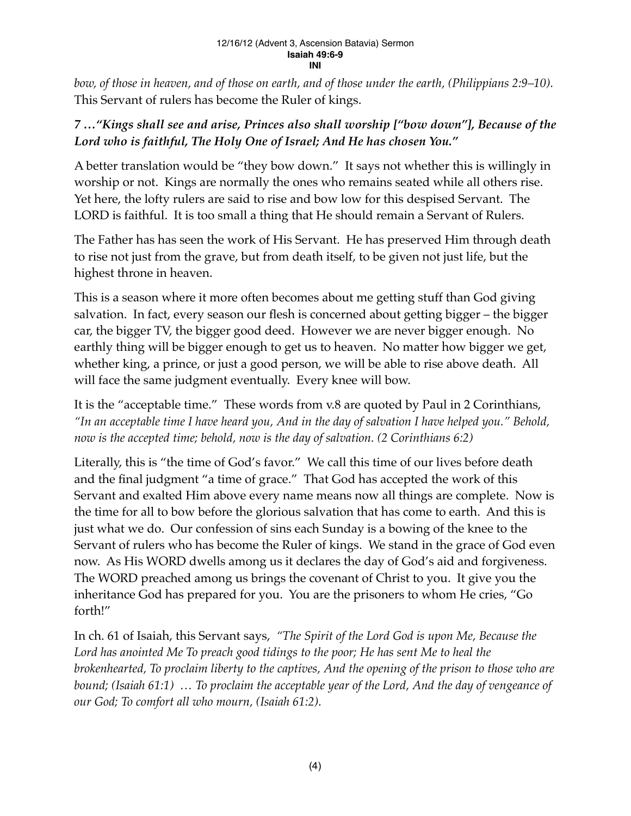#### 12/16/12 (Advent 3, Ascension Batavia) Sermon **Isaiah 49:6-9 INI**

*bow, of those in heaven, and of those on earth, and of those under the earth, (Philippians 2:9–10).* This Servant of rulers has become the Ruler of kings.

### *7 …"Kings shall see and arise, Princes also shall worship ["bow down"], Because of the Lord who is faithful, The Holy One of Israel; And He has chosen You."*

A better translation would be "they bow down." It says not whether this is willingly in worship or not. Kings are normally the ones who remains seated while all others rise. Yet here, the lofty rulers are said to rise and bow low for this despised Servant. The LORD is faithful. It is too small a thing that He should remain a Servant of Rulers.

The Father has has seen the work of His Servant. He has preserved Him through death to rise not just from the grave, but from death itself, to be given not just life, but the highest throne in heaven.

This is a season where it more often becomes about me getting stuff than God giving salvation. In fact, every season our flesh is concerned about getting bigger – the bigger car, the bigger TV, the bigger good deed. However we are never bigger enough. No earthly thing will be bigger enough to get us to heaven. No matter how bigger we get, whether king, a prince, or just a good person, we will be able to rise above death. All will face the same judgment eventually. Every knee will bow.

It is the "acceptable time." These words from v.8 are quoted by Paul in 2 Corinthians, *"In an acceptable time I have heard you, And in the day of salvation I have helped you." Behold, now is the accepted time; behold, now is the day of salvation. (2 Corinthians 6:2)*

Literally, this is "the time of God's favor." We call this time of our lives before death and the final judgment "a time of grace." That God has accepted the work of this Servant and exalted Him above every name means now all things are complete. Now is the time for all to bow before the glorious salvation that has come to earth. And this is just what we do. Our confession of sins each Sunday is a bowing of the knee to the Servant of rulers who has become the Ruler of kings. We stand in the grace of God even now. As His WORD dwells among us it declares the day of God's aid and forgiveness. The WORD preached among us brings the covenant of Christ to you. It give you the inheritance God has prepared for you. You are the prisoners to whom He cries, "Go forth!"

In ch. 61 of Isaiah, this Servant says, *"The Spirit of the Lord God is upon Me, Because the*  Lord has anointed Me To preach good tidings to the poor; He has sent Me to heal the *brokenhearted, To proclaim liberty to the captives, And the opening of the prison to those who are bound; (Isaiah 61:1) … To proclaim the acceptable year of the Lord, And the day of vengeance of our God; To comfort all who mourn, (Isaiah 61:2).*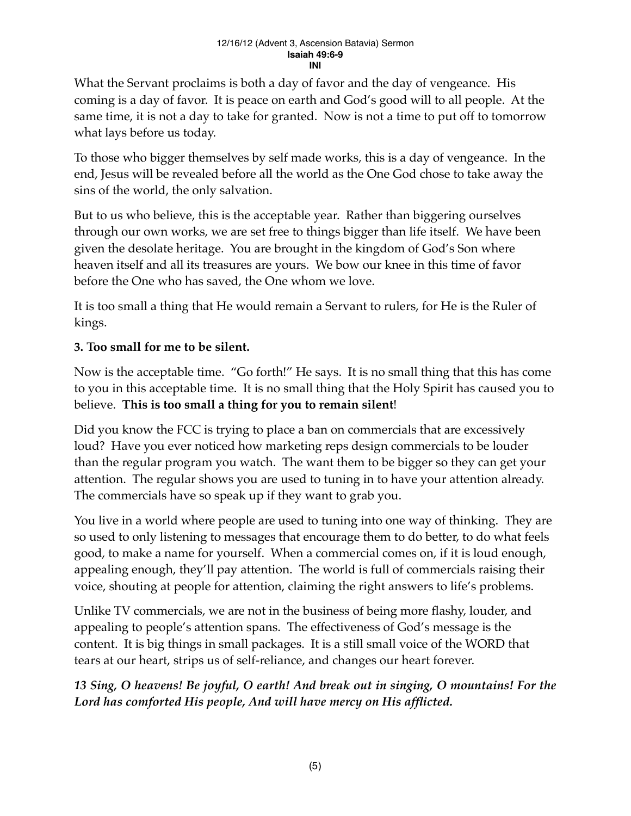What the Servant proclaims is both a day of favor and the day of vengeance. His coming is a day of favor. It is peace on earth and God's good will to all people. At the same time, it is not a day to take for granted. Now is not a time to put off to tomorrow what lays before us today.

To those who bigger themselves by self made works, this is a day of vengeance. In the end, Jesus will be revealed before all the world as the One God chose to take away the sins of the world, the only salvation.

But to us who believe, this is the acceptable year. Rather than biggering ourselves through our own works, we are set free to things bigger than life itself. We have been given the desolate heritage. You are brought in the kingdom of God's Son where heaven itself and all its treasures are yours. We bow our knee in this time of favor before the One who has saved, the One whom we love.

It is too small a thing that He would remain a Servant to rulers, for He is the Ruler of kings.

# **3. Too small for me to be silent.**

Now is the acceptable time. "Go forth!" He says. It is no small thing that this has come to you in this acceptable time. It is no small thing that the Holy Spirit has caused you to believe. **This is too small a thing for you to remain silent**!

Did you know the FCC is trying to place a ban on commercials that are excessively loud? Have you ever noticed how marketing reps design commercials to be louder than the regular program you watch. The want them to be bigger so they can get your attention. The regular shows you are used to tuning in to have your attention already. The commercials have so speak up if they want to grab you.

You live in a world where people are used to tuning into one way of thinking. They are so used to only listening to messages that encourage them to do better, to do what feels good, to make a name for yourself. When a commercial comes on, if it is loud enough, appealing enough, they'll pay attention. The world is full of commercials raising their voice, shouting at people for attention, claiming the right answers to life's problems.

Unlike TV commercials, we are not in the business of being more flashy, louder, and appealing to people's attention spans. The effectiveness of God's message is the content. It is big things in small packages. It is a still small voice of the WORD that tears at our heart, strips us of self-reliance, and changes our heart forever.

*13 Sing, O heavens! Be joyful, O earth! And break out in singing, O mountains! For the Lord has comforted His people, And will have mercy on His afflicted.*